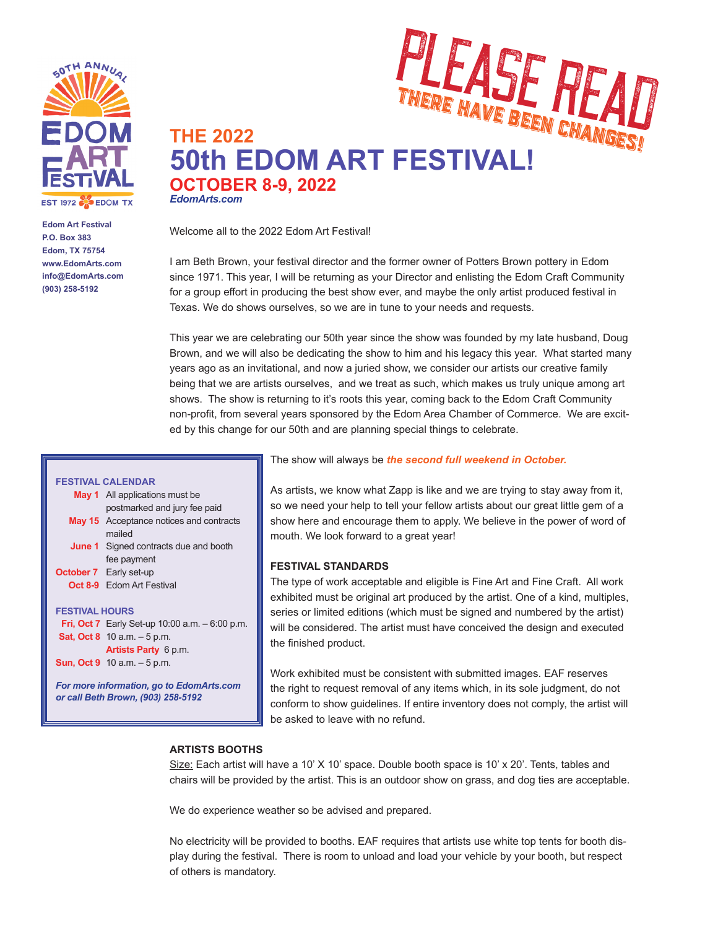

**Edom Art Festival P.O. Box 383 Edom, TX 75754 www.EdomArts.com info@EdomArts.com (903) 258-5192**



# **THE 2022 50th EDOM ART FESTIVAL! OCTOBER 8-9, 2022** *EdomArts.com*

Welcome all to the 2022 Edom Art Festival!

I am Beth Brown, your festival director and the former owner of Potters Brown pottery in Edom since 1971. This year, I will be returning as your Director and enlisting the Edom Craft Community for a group effort in producing the best show ever, and maybe the only artist produced festival in Texas. We do shows ourselves, so we are in tune to your needs and requests.

This year we are celebrating our 50th year since the show was founded by my late husband, Doug Brown, and we will also be dedicating the show to him and his legacy this year. What started many years ago as an invitational, and now a juried show, we consider our artists our creative family being that we are artists ourselves, and we treat as such, which makes us truly unique among art shows. The show is returning to it's roots this year, coming back to the Edom Craft Community non-profit, from several years sponsored by the Edom Area Chamber of Commerce. We are excited by this change for our 50th and are planning special things to celebrate.

### The show will always be *the second full weekend in October.*

**FESTIVAL CALENDAR May 1** All applications must be postmarked and jury fee paid **May 15** Acceptance notices and contracts mailed **June 1** Signed contracts due and booth fee payment **October 7** Early set-up **Oct 8-9** Edom Art Festival **FESTIVAL HOURS**

**Fri, Oct 7** Early Set-up 10:00 a.m. – 6:00 p.m. **Sat, Oct 8** 10 a.m. – 5 p.m. **Artists Party** 6 p.m. **Sun, Oct 9** 10 a.m. – 5 p.m.

*For more information, go to EdomArts.com or call Beth Brown, (903) 258-5192*

As artists, we know what Zapp is like and we are trying to stay away from it, so we need your help to tell your fellow artists about our great little gem of a show here and encourage them to apply. We believe in the power of word of mouth. We look forward to a great year!

# **FESTIVAL STANDARDS**

The type of work acceptable and eligible is Fine Art and Fine Craft. All work exhibited must be original art produced by the artist. One of a kind, multiples, series or limited editions (which must be signed and numbered by the artist) will be considered. The artist must have conceived the design and executed the finished product.

Work exhibited must be consistent with submitted images. EAF reserves the right to request removal of any items which, in its sole judgment, do not conform to show guidelines. If entire inventory does not comply, the artist will be asked to leave with no refund.

# **ARTISTS BOOTHS**

Size: Each artist will have a 10'  $X$  10' space. Double booth space is 10'  $x$  20'. Tents, tables and chairs will be provided by the artist. This is an outdoor show on grass, and dog ties are acceptable.

We do experience weather so be advised and prepared.

No electricity will be provided to booths. EAF requires that artists use white top tents for booth display during the festival. There is room to unload and load your vehicle by your booth, but respect of others is mandatory.